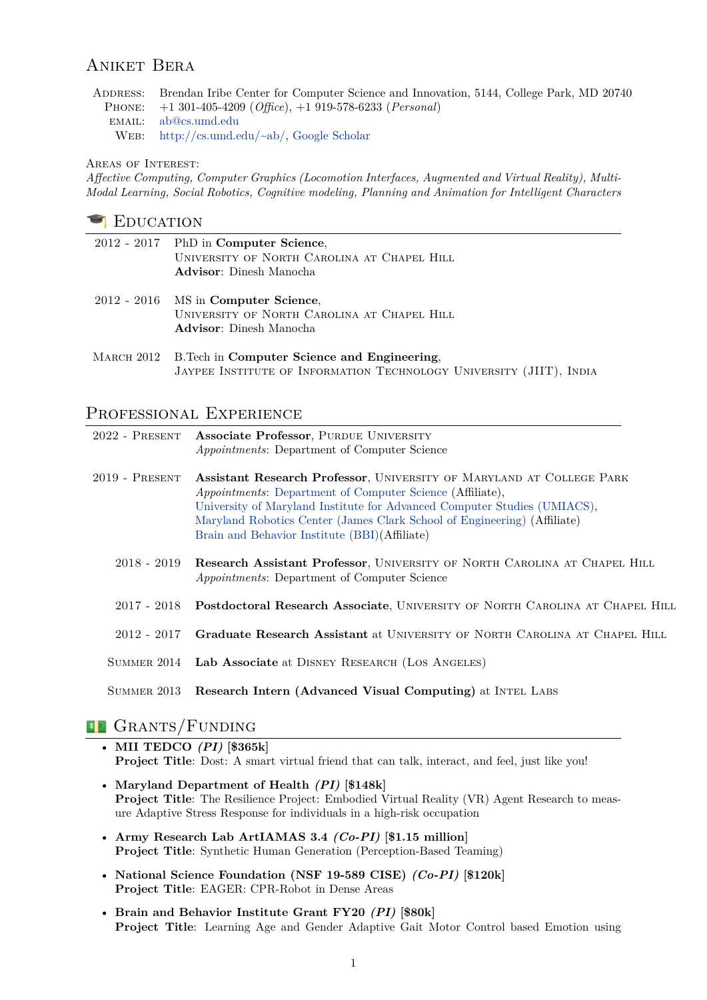# Aniket Bera

Address: Brendan Iribe Center for Computer Science and Innovation, 5144, College Park, MD 20740 Phone: +1 301-405-4209 (*Office*), +1 919-578-6233 (*Personal*) email: [ab@cs.umd.edu](mailto:ab@cs.umd.edu) Web: [http://cs.umd.edu/~ab/,](https://www.cs.umd.edu/~ab/) [Google Scholar](https://scholar.google.com/citations?user=q3UdHk4AAAAJ)

#### Areas of Interest:

*Affective Computing, Computer Graphics (Locomotion Interfaces, Augmented and Virtual Reality), Multi-Modal Learning, Social Robotics, Cognitive modeling, Planning and Animation for Intelligent Characters*

#### **EDUCATION**

| 2012 - 2017 PhD in Computer Science,<br>UNIVERSITY OF NORTH CAROLINA AT CHAPEL HILL<br><b>Advisor</b> : Dinesh Manocha         |
|--------------------------------------------------------------------------------------------------------------------------------|
| $2012 - 2016$ MS in Computer Science,<br>UNIVERSITY OF NORTH CAROLINA AT CHAPEL HILL<br><b>Advisor</b> : Dinesh Manocha        |
| MARCH 2012 B. Tech in Computer Science and Engineering,<br>JAYPEE INSTITUTE OF INFORMATION TECHNOLOGY UNIVERSITY (JIIT), INDIA |

## PROFESSIONAL EXPERIENCE

| $2022$ - PRESENT | <b>Associate Professor, PURDUE UNIVERSITY</b><br><i>Appointments:</i> Department of Computer Science                                                                                                                                                                                                                                              |
|------------------|---------------------------------------------------------------------------------------------------------------------------------------------------------------------------------------------------------------------------------------------------------------------------------------------------------------------------------------------------|
| $2019$ - PRESENT | Assistant Research Professor, UNIVERSITY OF MARYLAND AT COLLEGE PARK<br><i>Appointments:</i> Department of Computer Science (Affiliate),<br>University of Maryland Institute for Advanced Computer Studies (UMIACS),<br>Maryland Robotics Center (James Clark School of Engineering) (Affiliate)<br>Brain and Behavior Institute (BBI)(Affiliate) |
|                  | 2018 - 2019 Research Assistant Professor, UNIVERSITY OF NORTH CAROLINA AT CHAPEL HILL<br><i>Appointments:</i> Department of Computer Science                                                                                                                                                                                                      |
|                  | 2017 - 2018 Postdoctoral Research Associate, UNIVERSITY OF NORTH CAROLINA AT CHAPEL HILL                                                                                                                                                                                                                                                          |
| 2012 - 2017      | Graduate Research Assistant at UNIVERSITY OF NORTH CAROLINA AT CHAPEL HILL                                                                                                                                                                                                                                                                        |
|                  | SUMMER 2014 Lab Associate at DISNEY RESEARCH (LOS ANGELES)                                                                                                                                                                                                                                                                                        |
| SUMMER 2013      | Research Intern (Advanced Visual Computing) at INTEL LABS                                                                                                                                                                                                                                                                                         |

# <sup>5</sup> GRANTS/FUNDING

- **MII TEDCO** *(PI)* **[\$365k] Project Title**: Dost: A smart virtual friend that can talk, interact, and feel, just like you!
- **Maryland Department of Health** *(PI)* **[\$148k] Project Title**: The Resilience Project: Embodied Virtual Reality (VR) Agent Research to measure Adaptive Stress Response for individuals in a high-risk occupation
- **Army Research Lab ArtIAMAS 3.4** *(Co-PI)* **[\$1.15 million] Project Title**: Synthetic Human Generation (Perception-Based Teaming)
- **National Science Foundation (NSF 19-589 CISE)** *(Co-PI)* **[\$120k] Project Title**: EAGER: CPR-Robot in Dense Areas
- **Brain and Behavior Institute Grant FY20** *(PI)* **[\$80k] Project Title**: Learning Age and Gender Adaptive Gait Motor Control based Emotion using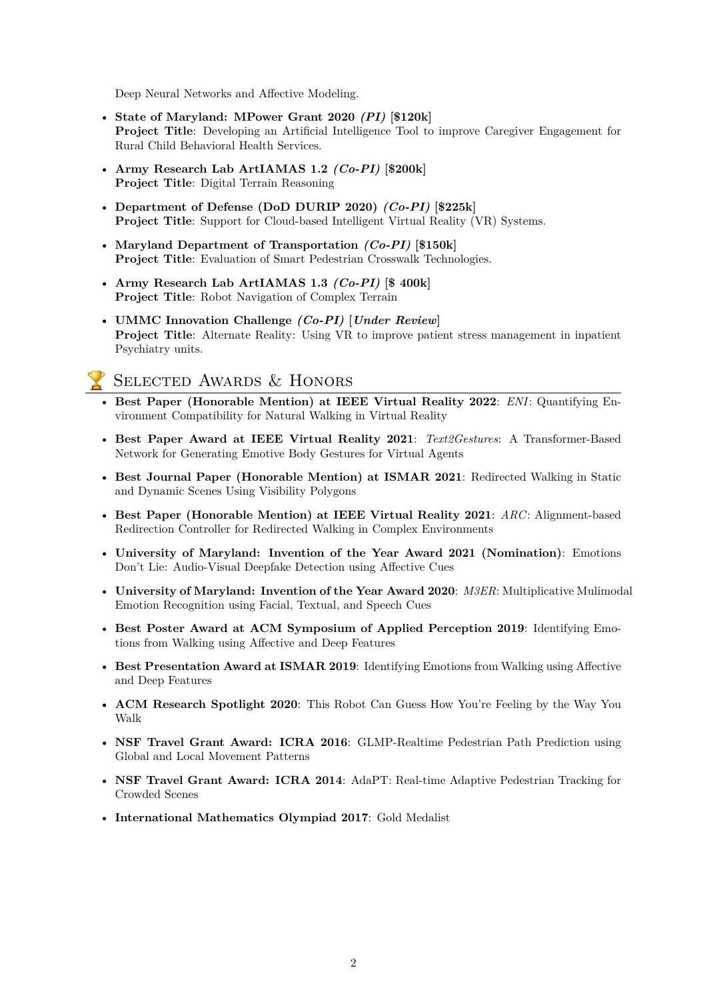Deep Neural Networks and Affective Modeling.

- **State of Maryland: MPower Grant 2020** *(PI)* **[\$120k] Project Title:** Developing an Artificial Intelligence Tool to improve Caregiver Engagement for Rural Child Behavioral Health Services.
- **Army Research Lab ArtIAMAS 1.2** *(Co-PI)* **[\$200k] Project Title**: Digital Terrain Reasoning
- **Department of Defense (DoD DURIP 2020)** *(Co-PI)* **[\$225k] Project Title**: Support for Cloud-based Intelligent Virtual Reality (VR) Systems.
- **Maryland Department of Transportation** *(Co-PI)* **[\$150k] Project Title**: Evaluation of Smart Pedestrian Crosswalk Technologies.
- **Army Research Lab ArtIAMAS 1.3** *(Co-PI)* **[\$ 400k] Project Title**: Robot Navigation of Complex Terrain
- **UMMC Innovation Challenge** *(Co-PI)* **[***Under Review***] Project Title**: Alternate Reality: Using VR to improve patient stress management in inpatient Psychiatry units.

# Selected Awards & Honors

- **Best Paper (Honorable Mention) at IEEE Virtual Reality 2022**: *ENI*: Quantifying Environment Compatibility for Natural Walking in Virtual Reality
- **Best Paper Award at IEEE Virtual Reality 2021**: *Text2Gestures*: A Transformer-Based Network for Generating Emotive Body Gestures for Virtual Agents
- **Best Journal Paper (Honorable Mention) at ISMAR 2021**: Redirected Walking in Static and Dynamic Scenes Using Visibility Polygons
- **Best Paper (Honorable Mention) at IEEE Virtual Reality 2021**: *ARC*: Alignment-based Redirection Controller for Redirected Walking in Complex Environments
- **University of Maryland: Invention of the Year Award 2021 (Nomination)**: Emotions Don't Lie: Audio-Visual Deepfake Detection using Affective Cues
- **University of Maryland: Invention of the Year Award 2020**: *M3ER*: Multiplicative Mulimodal Emotion Recognition using Facial, Textual, and Speech Cues
- **Best Poster Award at ACM Symposium of Applied Perception 2019**: Identifying Emotions from Walking using Affective and Deep Features
- **Best Presentation Award at ISMAR 2019**: Identifying Emotions from Walking using Affective and Deep Features
- **ACM Research Spotlight 2020**: This Robot Can Guess How You're Feeling by the Way You Walk
- **NSF Travel Grant Award: ICRA 2016**: GLMP-Realtime Pedestrian Path Prediction using Global and Local Movement Patterns
- **NSF Travel Grant Award: ICRA 2014**: AdaPT: Real-time Adaptive Pedestrian Tracking for Crowded Scenes
- **International Mathematics Olympiad 2017**: Gold Medalist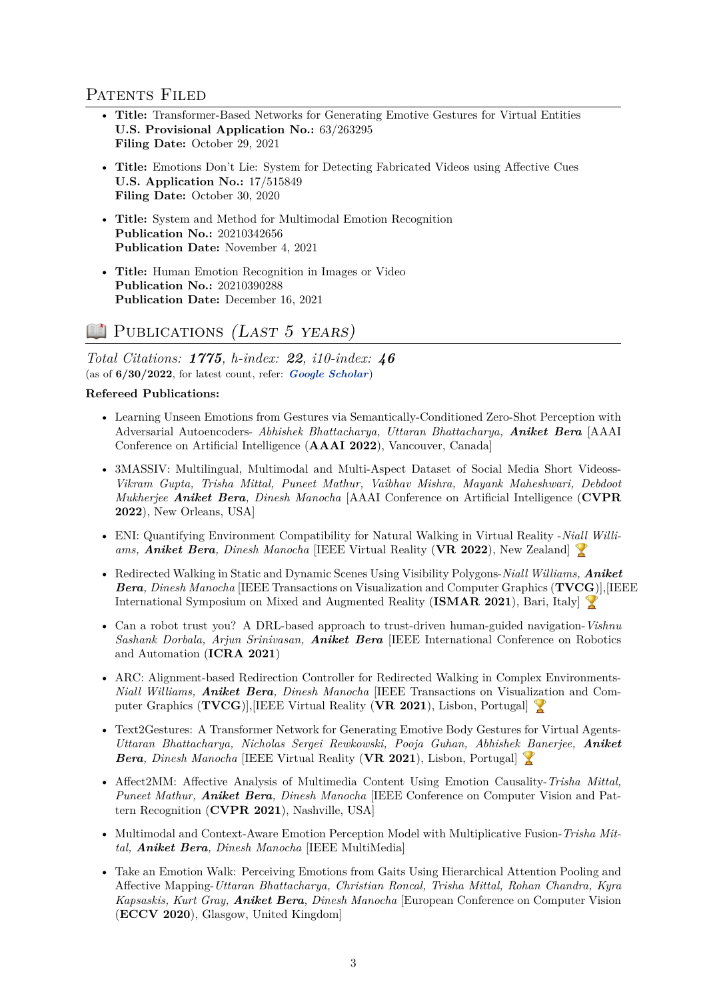# PATENTS FILED

- **Title:** Transformer-Based Networks for Generating Emotive Gestures for Virtual Entities **U.S. Provisional Application No.:** 63/263295 **Filing Date:** October 29, 2021
- **Title:** Emotions Don't Lie: System for Detecting Fabricated Videos using Affective Cues **U.S. Application No.:** 17/515849 **Filing Date:** October 30, 2020
- **Title:** System and Method for Multimodal Emotion Recognition **Publication No.:** 20210342656 **Publication Date:** November 4, 2021
- **Title:** Human Emotion Recognition in Images or Video **Publication No.:** 20210390288 **Publication Date:** December 16, 2021

# **PUBLICATIONS** (LAST 5 YEARS)

*Total Citations: 1775, h-index: 22, i10-index: 46* (as of **6/30/2022**, for latest count, refer: *[Google Scholar](https://scholar.google.com/citations?user=q3UdHk4AAAAJ)*)

#### **Refereed Publications:**

- Learning Unseen Emotions from Gestures via Semantically-Conditioned Zero-Shot Perception with Adversarial Autoencoders- *Abhishek Bhattacharya, Uttaran Bhattacharya, Aniket Bera* [AAAI Conference on Artificial Intelligence (**AAAI 2022**), Vancouver, Canada]
- 3MASSIV: Multilingual, Multimodal and Multi-Aspect Dataset of Social Media Short Videoss-*Vikram Gupta, Trisha Mittal, Puneet Mathur, Vaibhav Mishra, Mayank Maheshwari, Debdoot Mukherjee Aniket Bera, Dinesh Manocha* [AAAI Conference on Artificial Intelligence (**CVPR 2022**), New Orleans, USA]
- ENI: Quantifying Environment Compatibility for Natural Walking in Virtual Reality -*Niall Williams, Aniket Bera, Dinesh Manocha* [IEEE Virtual Reality (**VR 2022**), New Zealand]
- Redirected Walking in Static and Dynamic Scenes Using Visibility Polygons-*Niall Williams, Aniket Bera, Dinesh Manocha* [IEEE Transactions on Visualization and Computer Graphics (**TVCG**)],[IEEE International Symposium on Mixed and Augmented Reality (**ISMAR 2021**), Bari, Italy]
- Can a robot trust you? A DRL-based approach to trust-driven human-guided navigation-*Vishnu Sashank Dorbala, Arjun Srinivasan, Aniket Bera* [IEEE International Conference on Robotics and Automation (**ICRA 2021**)
- ARC: Alignment-based Redirection Controller for Redirected Walking in Complex Environments-*Niall Williams, Aniket Bera, Dinesh Manocha* [IEEE Transactions on Visualization and Computer Graphics (**TVCG**)],[IEEE Virtual Reality (**VR 2021**), Lisbon, Portugal]
- Text2Gestures: A Transformer Network for Generating Emotive Body Gestures for Virtual Agents-*Uttaran Bhattacharya, Nicholas Sergei Rewkowski, Pooja Guhan, Abhishek Banerjee, Aniket Bera, Dinesh Manocha* [IEEE Virtual Reality (**VR 2021**), Lisbon, Portugal]
- Affect2MM: Affective Analysis of Multimedia Content Using Emotion Causality-*Trisha Mittal, Puneet Mathur, Aniket Bera, Dinesh Manocha* [IEEE Conference on Computer Vision and Pattern Recognition (**CVPR 2021**), Nashville, USA]
- Multimodal and Context-Aware Emotion Perception Model with Multiplicative Fusion-*Trisha Mittal, Aniket Bera, Dinesh Manocha* [IEEE MultiMedia]
- Take an Emotion Walk: Perceiving Emotions from Gaits Using Hierarchical Attention Pooling and Affective Mapping-*Uttaran Bhattacharya, Christian Roncal, Trisha Mittal, Rohan Chandra, Kyra Kapsaskis, Kurt Gray, Aniket Bera, Dinesh Manocha* [European Conference on Computer Vision (**ECCV 2020**), Glasgow, United Kingdom]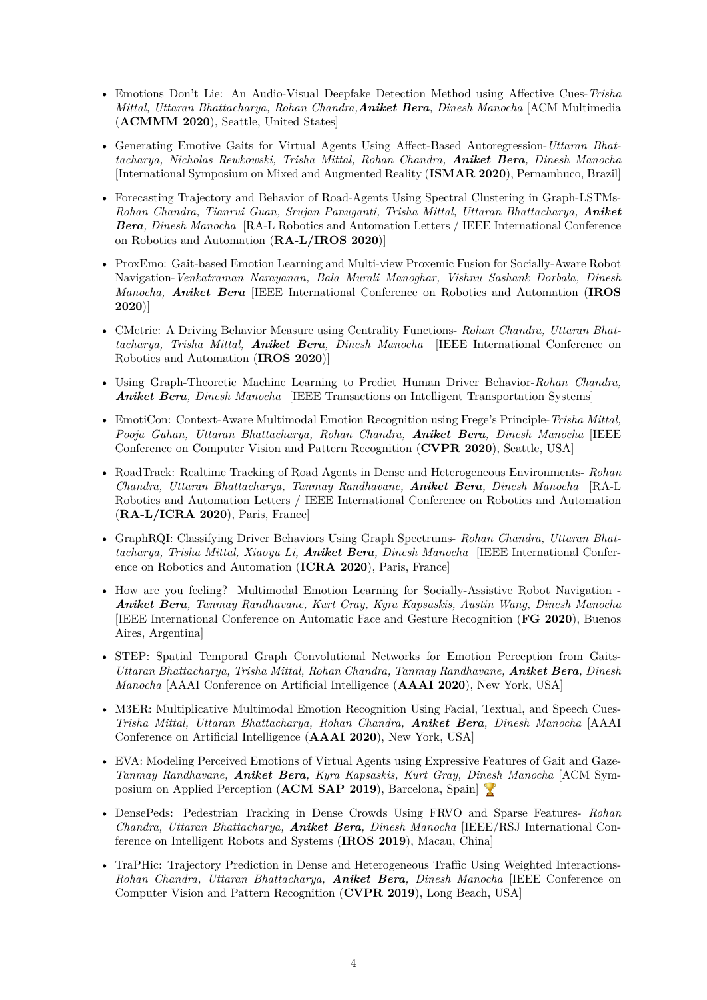- Emotions Don't Lie: An Audio-Visual Deepfake Detection Method using Affective Cues-*Trisha Mittal, Uttaran Bhattacharya, Rohan Chandra,Aniket Bera, Dinesh Manocha* [ACM Multimedia (**ACMMM 2020**), Seattle, United States]
- Generating Emotive Gaits for Virtual Agents Using Affect-Based Autoregression-*Uttaran Bhattacharya, Nicholas Rewkowski, Trisha Mittal, Rohan Chandra, Aniket Bera, Dinesh Manocha* [International Symposium on Mixed and Augmented Reality (**ISMAR 2020**), Pernambuco, Brazil]
- Forecasting Trajectory and Behavior of Road-Agents Using Spectral Clustering in Graph-LSTMs-*Rohan Chandra, Tianrui Guan, Srujan Panuganti, Trisha Mittal, Uttaran Bhattacharya, Aniket Bera, Dinesh Manocha* [RA-L Robotics and Automation Letters / IEEE International Conference on Robotics and Automation (**RA-L/IROS 2020**)]
- ProxEmo: Gait-based Emotion Learning and Multi-view Proxemic Fusion for Socially-Aware Robot Navigation-*Venkatraman Narayanan, Bala Murali Manoghar, Vishnu Sashank Dorbala, Dinesh Manocha, Aniket Bera* [IEEE International Conference on Robotics and Automation (**IROS 2020**)]
- CMetric: A Driving Behavior Measure using Centrality Functions- *Rohan Chandra, Uttaran Bhattacharya, Trisha Mittal, Aniket Bera, Dinesh Manocha* [IEEE International Conference on Robotics and Automation (**IROS 2020**)]
- Using Graph-Theoretic Machine Learning to Predict Human Driver Behavior-*Rohan Chandra, Aniket Bera, Dinesh Manocha* [IEEE Transactions on Intelligent Transportation Systems]
- EmotiCon: Context-Aware Multimodal Emotion Recognition using Frege's Principle-*Trisha Mittal, Pooja Guhan, Uttaran Bhattacharya, Rohan Chandra, Aniket Bera, Dinesh Manocha* [IEEE Conference on Computer Vision and Pattern Recognition (**CVPR 2020**), Seattle, USA]
- RoadTrack: Realtime Tracking of Road Agents in Dense and Heterogeneous Environments- *Rohan Chandra, Uttaran Bhattacharya, Tanmay Randhavane, Aniket Bera, Dinesh Manocha* [RA-L Robotics and Automation Letters / IEEE International Conference on Robotics and Automation (**RA-L/ICRA 2020**), Paris, France]
- GraphRQI: Classifying Driver Behaviors Using Graph Spectrums- *Rohan Chandra, Uttaran Bhattacharya, Trisha Mittal, Xiaoyu Li, Aniket Bera, Dinesh Manocha* [IEEE International Conference on Robotics and Automation (**ICRA 2020**), Paris, France]
- How are you feeling? Multimodal Emotion Learning for Socially-Assistive Robot Navigation *Aniket Bera, Tanmay Randhavane, Kurt Gray, Kyra Kapsaskis, Austin Wang, Dinesh Manocha* [IEEE International Conference on Automatic Face and Gesture Recognition (**FG 2020**), Buenos Aires, Argentina]
- STEP: Spatial Temporal Graph Convolutional Networks for Emotion Perception from Gaits-*Uttaran Bhattacharya, Trisha Mittal, Rohan Chandra, Tanmay Randhavane, Aniket Bera, Dinesh Manocha* [AAAI Conference on Artificial Intelligence (**AAAI 2020**), New York, USA]
- M3ER: Multiplicative Multimodal Emotion Recognition Using Facial, Textual, and Speech Cues-*Trisha Mittal, Uttaran Bhattacharya, Rohan Chandra, Aniket Bera, Dinesh Manocha* [AAAI Conference on Artificial Intelligence (**AAAI 2020**), New York, USA]
- EVA: Modeling Perceived Emotions of Virtual Agents using Expressive Features of Gait and Gaze-*Tanmay Randhavane, Aniket Bera, Kyra Kapsaskis, Kurt Gray, Dinesh Manocha* [ACM Symposium on Applied Perception (**ACM SAP 2019**), Barcelona, Spain]
- DensePeds: Pedestrian Tracking in Dense Crowds Using FRVO and Sparse Features- *Rohan Chandra, Uttaran Bhattacharya, Aniket Bera, Dinesh Manocha* [IEEE/RSJ International Conference on Intelligent Robots and Systems (**IROS 2019**), Macau, China]
- TraPHic: Trajectory Prediction in Dense and Heterogeneous Traffic Using Weighted Interactions-*Rohan Chandra, Uttaran Bhattacharya, Aniket Bera, Dinesh Manocha* [IEEE Conference on Computer Vision and Pattern Recognition (**CVPR 2019**), Long Beach, USA]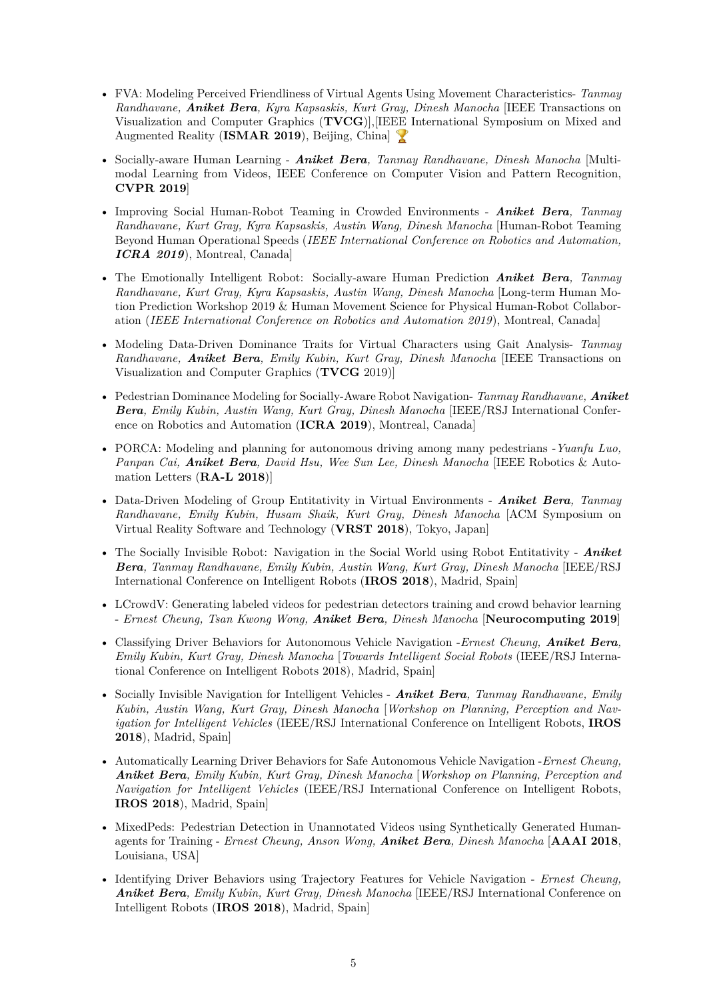- FVA: Modeling Perceived Friendliness of Virtual Agents Using Movement Characteristics- *Tanmay Randhavane, Aniket Bera, Kyra Kapsaskis, Kurt Gray, Dinesh Manocha* [IEEE Transactions on Visualization and Computer Graphics (**TVCG**)],[IEEE International Symposium on Mixed and Augmented Reality (**ISMAR 2019**), Beijing, China]
- Socially-aware Human Learning *Aniket Bera, Tanmay Randhavane, Dinesh Manocha* [Multimodal Learning from Videos, IEEE Conference on Computer Vision and Pattern Recognition, **CVPR 2019**]
- Improving Social Human-Robot Teaming in Crowded Environments *Aniket Bera, Tanmay Randhavane, Kurt Gray, Kyra Kapsaskis, Austin Wang, Dinesh Manocha* [Human-Robot Teaming Beyond Human Operational Speeds (*IEEE International Conference on Robotics and Automation, ICRA 2019*), Montreal, Canada]
- The Emotionally Intelligent Robot: Socially-aware Human Prediction *Aniket Bera, Tanmay Randhavane, Kurt Gray, Kyra Kapsaskis, Austin Wang, Dinesh Manocha* [Long-term Human Motion Prediction Workshop 2019 & Human Movement Science for Physical Human-Robot Collaboration (*IEEE International Conference on Robotics and Automation 2019*), Montreal, Canada]
- Modeling Data-Driven Dominance Traits for Virtual Characters using Gait Analysis- *Tanmay Randhavane, Aniket Bera, Emily Kubin, Kurt Gray, Dinesh Manocha* [IEEE Transactions on Visualization and Computer Graphics (**TVCG** 2019)]
- Pedestrian Dominance Modeling for Socially-Aware Robot Navigation- *Tanmay Randhavane, Aniket Bera, Emily Kubin, Austin Wang, Kurt Gray, Dinesh Manocha* [IEEE/RSJ International Conference on Robotics and Automation (**ICRA 2019**), Montreal, Canada]
- PORCA: Modeling and planning for autonomous driving among many pedestrians -*Yuanfu Luo, Panpan Cai, Aniket Bera, David Hsu, Wee Sun Lee, Dinesh Manocha* [IEEE Robotics & Automation Letters (**RA-L 2018**)]
- Data-Driven Modeling of Group Entitativity in Virtual Environments *Aniket Bera, Tanmay Randhavane, Emily Kubin, Husam Shaik, Kurt Gray, Dinesh Manocha* [ACM Symposium on Virtual Reality Software and Technology (**VRST 2018**), Tokyo, Japan]
- The Socially Invisible Robot: Navigation in the Social World using Robot Entitativity *Aniket Bera, Tanmay Randhavane, Emily Kubin, Austin Wang, Kurt Gray, Dinesh Manocha* [IEEE/RSJ International Conference on Intelligent Robots (**IROS 2018**), Madrid, Spain]
- LCrowdV: Generating labeled videos for pedestrian detectors training and crowd behavior learning - *Ernest Cheung, Tsan Kwong Wong, Aniket Bera, Dinesh Manocha* [**Neurocomputing 2019**]
- Classifying Driver Behaviors for Autonomous Vehicle Navigation -*Ernest Cheung, Aniket Bera, Emily Kubin, Kurt Gray, Dinesh Manocha* [*Towards Intelligent Social Robots* (IEEE/RSJ International Conference on Intelligent Robots 2018), Madrid, Spain]
- Socially Invisible Navigation for Intelligent Vehicles *Aniket Bera, Tanmay Randhavane, Emily Kubin, Austin Wang, Kurt Gray, Dinesh Manocha* [*Workshop on Planning, Perception and Navigation for Intelligent Vehicles* (IEEE/RSJ International Conference on Intelligent Robots, **IROS 2018**), Madrid, Spain]
- Automatically Learning Driver Behaviors for Safe Autonomous Vehicle Navigation -*Ernest Cheung, Aniket Bera, Emily Kubin, Kurt Gray, Dinesh Manocha* [*Workshop on Planning, Perception and Navigation for Intelligent Vehicles* (IEEE/RSJ International Conference on Intelligent Robots, **IROS 2018**), Madrid, Spain]
- MixedPeds: Pedestrian Detection in Unannotated Videos using Synthetically Generated Humanagents for Training - *Ernest Cheung, Anson Wong, Aniket Bera, Dinesh Manocha* [**AAAI 2018**, Louisiana, USA]
- Identifying Driver Behaviors using Trajectory Features for Vehicle Navigation *Ernest Cheung, Aniket Bera, Emily Kubin, Kurt Gray, Dinesh Manocha* [IEEE/RSJ International Conference on Intelligent Robots (**IROS 2018**), Madrid, Spain]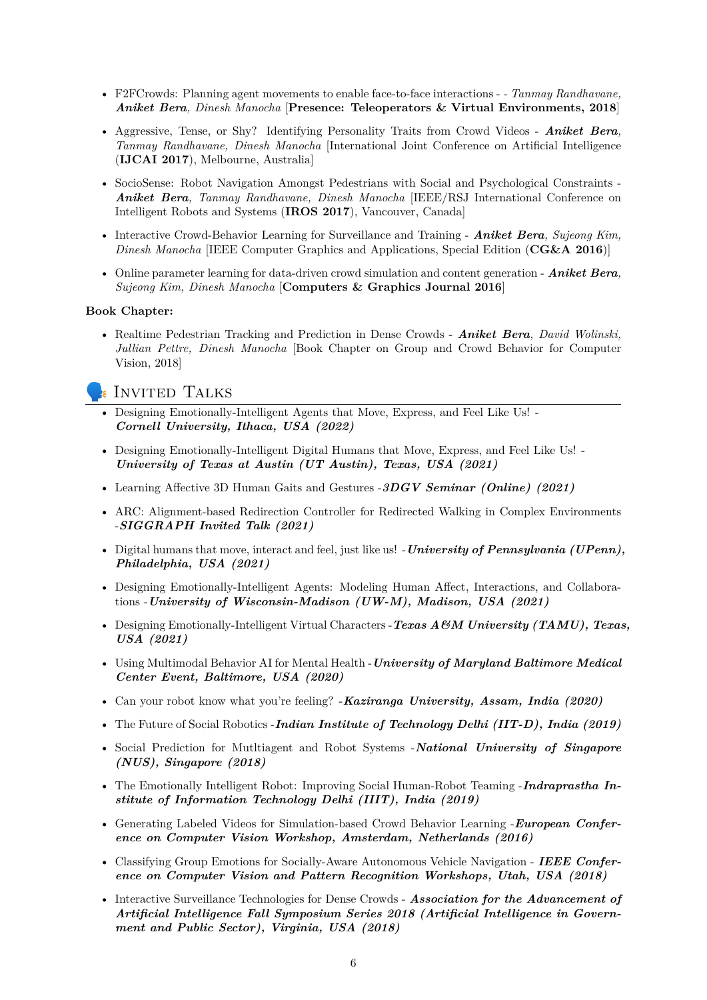- F2FCrowds: Planning agent movements to enable face-to-face interactions  *Tanmay Randhavane, Aniket Bera, Dinesh Manocha* [**Presence: Teleoperators & Virtual Environments, 2018**]
- Aggressive, Tense, or Shy? Identifying Personality Traits from Crowd Videos *Aniket Bera, Tanmay Randhavane, Dinesh Manocha* [International Joint Conference on Artificial Intelligence (**IJCAI 2017**), Melbourne, Australia]
- SocioSense: Robot Navigation Amongst Pedestrians with Social and Psychological Constraints *Aniket Bera, Tanmay Randhavane, Dinesh Manocha* [IEEE/RSJ International Conference on Intelligent Robots and Systems (**IROS 2017**), Vancouver, Canada]
- Interactive Crowd-Behavior Learning for Surveillance and Training *Aniket Bera, Sujeong Kim, Dinesh Manocha* [IEEE Computer Graphics and Applications, Special Edition (**CG&A 2016**)]
- Online parameter learning for data-driven crowd simulation and content generation *Aniket Bera, Sujeong Kim, Dinesh Manocha* [**Computers & Graphics Journal 2016**]

#### **Book Chapter:**

• Realtime Pedestrian Tracking and Prediction in Dense Crowds - *Aniket Bera, David Wolinski, Jullian Pettre, Dinesh Manocha* [Book Chapter on Group and Crowd Behavior for Computer Vision, 2018]

## Invited Talks

- Designing Emotionally-Intelligent Agents that Move, Express, and Feel Like Us! *Cornell University, Ithaca, USA (2022)*
- Designing Emotionally-Intelligent Digital Humans that Move, Express, and Feel Like Us! *University of Texas at Austin (UT Austin), Texas, USA (2021)*
- Learning Affective 3D Human Gaits and Gestures -*3DGV Seminar (Online) (2021)*
- ARC: Alignment-based Redirection Controller for Redirected Walking in Complex Environments -*SIGGRAPH Invited Talk (2021)*
- Digital humans that move, interact and feel, just like us! -*University of Pennsylvania (UPenn), Philadelphia, USA (2021)*
- Designing Emotionally-Intelligent Agents: Modeling Human Affect, Interactions, and Collaborations -*University of Wisconsin-Madison (UW-M), Madison, USA (2021)*
- Designing Emotionally-Intelligent Virtual Characters -*Texas A&M University (TAMU), Texas, USA (2021)*
- Using Multimodal Behavior AI for Mental Health -*University of Maryland Baltimore Medical Center Event, Baltimore, USA (2020)*
- Can your robot know what you're feeling? -*Kaziranga University, Assam, India (2020)*
- The Future of Social Robotics -*Indian Institute of Technology Delhi (IIT-D), India (2019)*
- Social Prediction for Mutltiagent and Robot Systems -*National University of Singapore (NUS), Singapore (2018)*
- The Emotionally Intelligent Robot: Improving Social Human-Robot Teaming -*Indraprastha Institute of Information Technology Delhi (IIIT), India (2019)*
- Generating Labeled Videos for Simulation-based Crowd Behavior Learning -*European Conference on Computer Vision Workshop, Amsterdam, Netherlands (2016)*
- Classifying Group Emotions for Socially-Aware Autonomous Vehicle Navigation *IEEE Conference on Computer Vision and Pattern Recognition Workshops, Utah, USA (2018)*
- Interactive Surveillance Technologies for Dense Crowds *Association for the Advancement of Artificial Intelligence Fall Symposium Series 2018 (Artificial Intelligence in Government and Public Sector), Virginia, USA (2018)*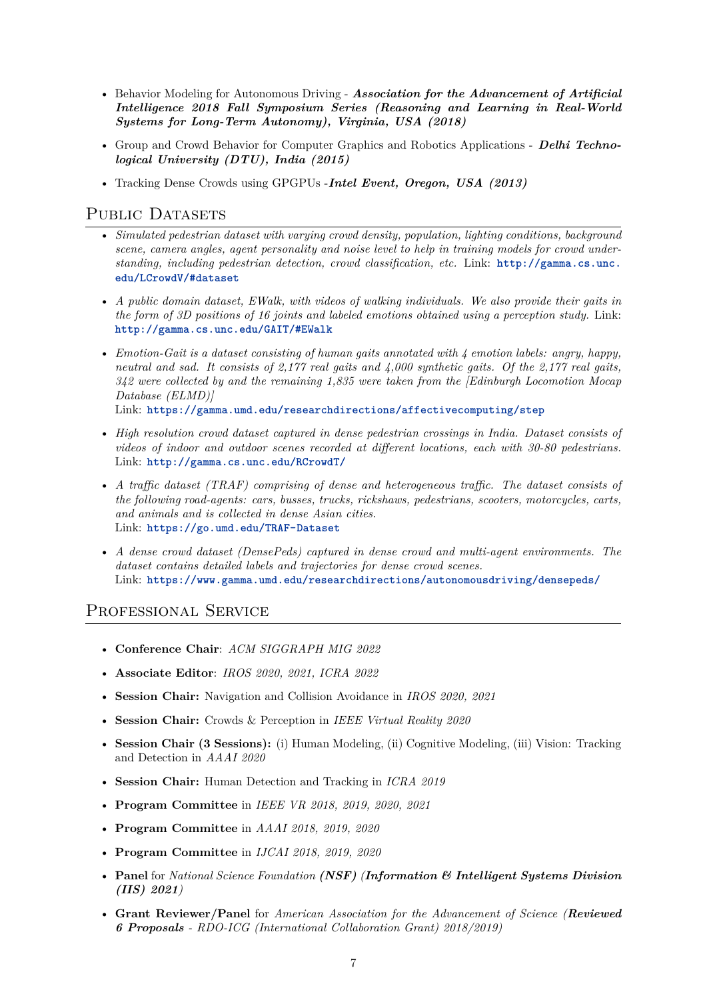- Behavior Modeling for Autonomous Driving *Association for the Advancement of Artificial Intelligence 2018 Fall Symposium Series (Reasoning and Learning in Real-World Systems for Long-Term Autonomy), Virginia, USA (2018)*
- Group and Crowd Behavior for Computer Graphics and Robotics Applications *Delhi Technological University (DTU), India (2015)*
- Tracking Dense Crowds using GPGPUs -*Intel Event, Oregon, USA (2013)*

## PUBLIC DATASETS

- *Simulated pedestrian dataset with varying crowd density, population, lighting conditions, background scene, camera angles, agent personality and noise level to help in training models for crowd understanding, including pedestrian detection, crowd classification, etc.* Link: **[http://gamma.cs.unc.](http://gamma.cs.unc.edu/LCrowdV/#dataset) [edu/LCrowdV/#dataset](http://gamma.cs.unc.edu/LCrowdV/#dataset)**
- *A public domain dataset, EWalk, with videos of walking individuals. We also provide their gaits in the form of 3D positions of 16 joints and labeled emotions obtained using a perception study.* Link: **<http://gamma.cs.unc.edu/GAIT/#EWalk>**
- *Emotion-Gait is a dataset consisting of human gaits annotated with 4 emotion labels: angry, happy, neutral and sad. It consists of 2,177 real gaits and 4,000 synthetic gaits. Of the 2,177 real gaits, 342 were collected by and the remaining 1,835 were taken from the [Edinburgh Locomotion Mocap Database (ELMD)]*

Link: **<https://gamma.umd.edu/researchdirections/affectivecomputing/step>**

- *High resolution crowd dataset captured in dense pedestrian crossings in India. Dataset consists of videos of indoor and outdoor scenes recorded at different locations, each with 30-80 pedestrians.* Link: **<http://gamma.cs.unc.edu/RCrowdT/>**
- *A traffic dataset (TRAF) comprising of dense and heterogeneous traffic. The dataset consists of the following road-agents: cars, busses, trucks, rickshaws, pedestrians, scooters, motorcycles, carts, and animals and is collected in dense Asian cities.* Link: **<https://go.umd.edu/TRAF-Dataset>**
- *A dense crowd dataset (DensePeds) captured in dense crowd and multi-agent environments. The dataset contains detailed labels and trajectories for dense crowd scenes.* Link: **<https://www.gamma.umd.edu/researchdirections/autonomousdriving/densepeds/>**

# PROFESSIONAL SERVICE

- **Conference Chair**: *ACM SIGGRAPH MIG 2022*
- **Associate Editor**: *IROS 2020, 2021, ICRA 2022*
- **Session Chair:** Navigation and Collision Avoidance in *IROS 2020, 2021*
- **Session Chair:** Crowds & Perception in *IEEE Virtual Reality 2020*
- **Session Chair (3 Sessions):** (i) Human Modeling, (ii) Cognitive Modeling, (iii) Vision: Tracking and Detection in *AAAI 2020*
- **Session Chair:** Human Detection and Tracking in *ICRA 2019*
- **Program Committee** in *IEEE VR 2018, 2019, 2020, 2021*
- **Program Committee** in *AAAI 2018, 2019, 2020*
- **Program Committee** in *IJCAI 2018, 2019, 2020*
- **Panel** for *National Science Foundation (NSF) (Information & Intelligent Systems Division (IIS) 2021)*
- **Grant Reviewer/Panel** for *American Association for the Advancement of Science (Reviewed 6 Proposals - RDO-ICG (International Collaboration Grant) 2018/2019)*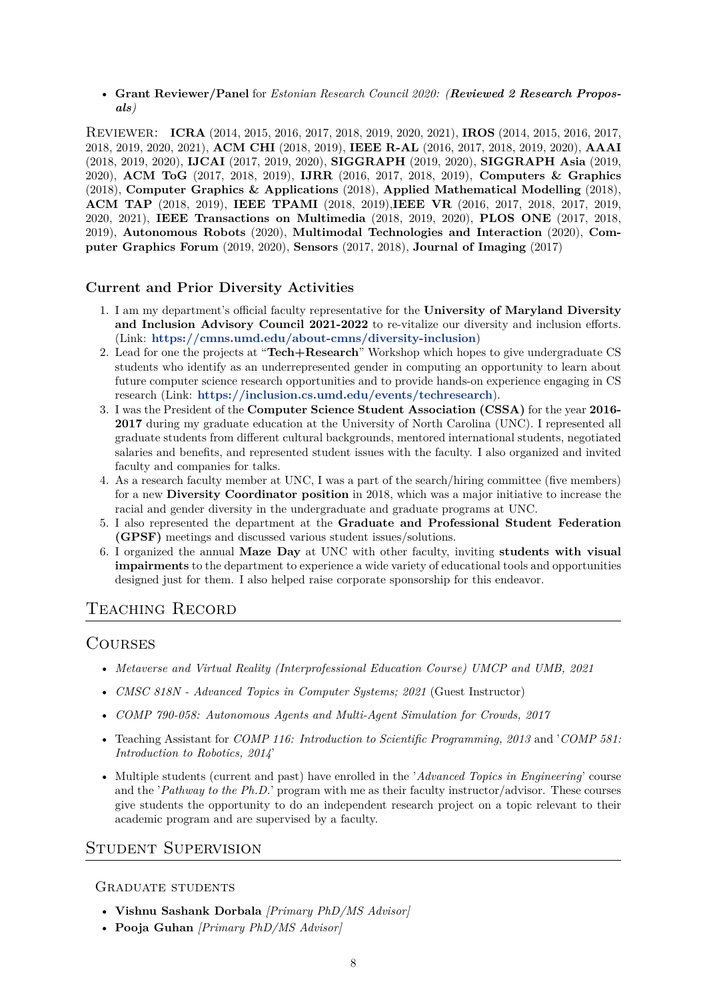• **Grant Reviewer/Panel** for *Estonian Research Council 2020: (Reviewed 2 Research Proposals)*

Reviewer: **ICRA** (2014, 2015, 2016, 2017, 2018, 2019, 2020, 2021), **IROS** (2014, 2015, 2016, 2017, 2018, 2019, 2020, 2021), **ACM CHI** (2018, 2019), **IEEE R-AL** (2016, 2017, 2018, 2019, 2020), **AAAI** (2018, 2019, 2020), **IJCAI** (2017, 2019, 2020), **SIGGRAPH** (2019, 2020), **SIGGRAPH Asia** (2019, 2020), **ACM ToG** (2017, 2018, 2019), **IJRR** (2016, 2017, 2018, 2019), **Computers & Graphics** (2018), **Computer Graphics & Applications** (2018), **Applied Mathematical Modelling** (2018), **ACM TAP** (2018, 2019), **IEEE TPAMI** (2018, 2019),**IEEE VR** (2016, 2017, 2018, 2017, 2019, 2020, 2021), **IEEE Transactions on Multimedia** (2018, 2019, 2020), **PLOS ONE** (2017, 2018, 2019), **Autonomous Robots** (2020), **Multimodal Technologies and Interaction** (2020), **Computer Graphics Forum** (2019, 2020), **Sensors** (2017, 2018), **Journal of Imaging** (2017)

## **Current and Prior Diversity Activities**

- 1. I am my department's official faculty representative for the **University of Maryland Diversity and Inclusion Advisory Council 2021-2022** to re-vitalize our diversity and inclusion efforts. (Link: **<https://cmns.umd.edu/about-cmns/diversity-inclusion>**)
- 2. Lead for one the projects at "**Tech+Research**" Workshop which hopes to give undergraduate CS students who identify as an underrepresented gender in computing an opportunity to learn about future computer science research opportunities and to provide hands-on experience engaging in CS research (Link: **<https://inclusion.cs.umd.edu/events/techresearch>**).
- 3. I was the President of the **Computer Science Student Association (CSSA)** for the year **2016- 2017** during my graduate education at the University of North Carolina (UNC). I represented all graduate students from different cultural backgrounds, mentored international students, negotiated salaries and benefits, and represented student issues with the faculty. I also organized and invited faculty and companies for talks.
- 4. As a research faculty member at UNC, I was a part of the search/hiring committee (five members) for a new **Diversity Coordinator position** in 2018, which was a major initiative to increase the racial and gender diversity in the undergraduate and graduate programs at UNC.
- 5. I also represented the department at the **Graduate and Professional Student Federation (GPSF)** meetings and discussed various student issues/solutions.
- 6. I organized the annual **Maze Day** at UNC with other faculty, inviting **students with visual impairments** to the department to experience a wide variety of educational tools and opportunities designed just for them. I also helped raise corporate sponsorship for this endeavor.

# Teaching Record

# **COURSES**

- *Metaverse and Virtual Reality (Interprofessional Education Course) UMCP and UMB, 2021*
- *CMSC 818N Advanced Topics in Computer Systems; 2021* (Guest Instructor)
- *COMP 790-058: Autonomous Agents and Multi-Agent Simulation for Crowds, 2017*
- Teaching Assistant for *COMP 116: Introduction to Scientific Programming, 2013* and '*COMP 581: Introduction to Robotics, 2014*'
- Multiple students (current and past) have enrolled in the '*Advanced Topics in Engineering*' course and the '*Pathway to the Ph.D.*' program with me as their faculty instructor/advisor. These courses give students the opportunity to do an independent research project on a topic relevant to their academic program and are supervised by a faculty.

# Student Supervision

#### GRADUATE STUDENTS

- **Vishnu Sashank Dorbala** *[Primary PhD/MS Advisor]*
- **Pooja Guhan** *[Primary PhD/MS Advisor]*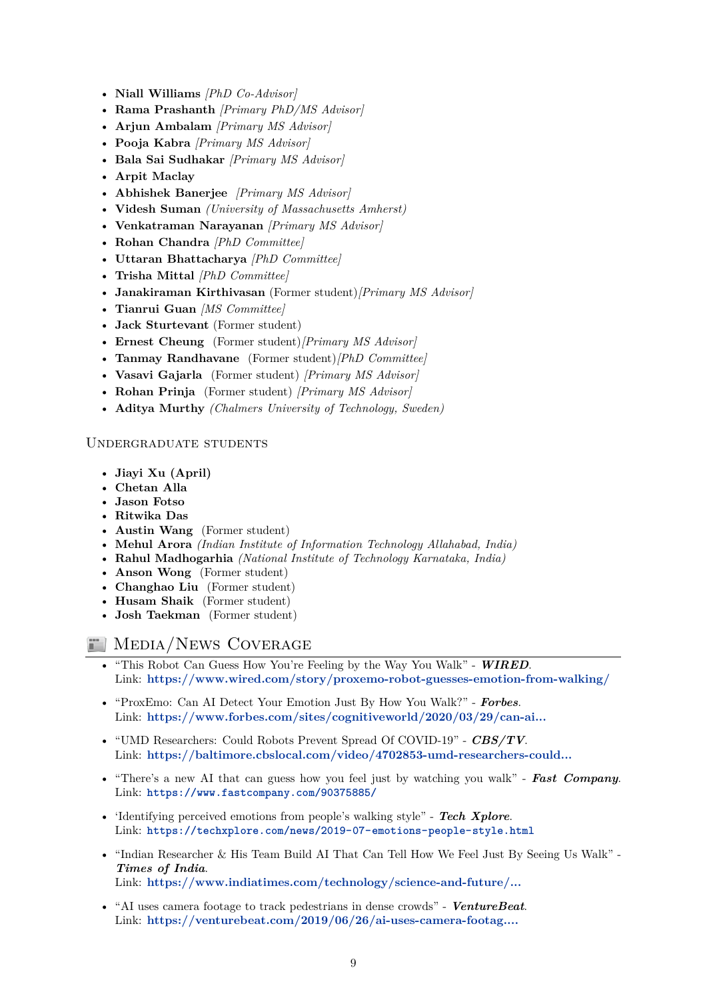- **Niall Williams** *[PhD Co-Advisor]*
- **Rama Prashanth** *[Primary PhD/MS Advisor]*
- **Arjun Ambalam** *[Primary MS Advisor]*
- **Pooja Kabra** *[Primary MS Advisor]*
- **Bala Sai Sudhakar** *[Primary MS Advisor]*
- **Arpit Maclay**
- **Abhishek Banerjee** *[Primary MS Advisor]*
- **Videsh Suman** *(University of Massachusetts Amherst)*
- **Venkatraman Narayanan** *[Primary MS Advisor]*
- **Rohan Chandra** *[PhD Committee]*
- **Uttaran Bhattacharya** *[PhD Committee]*
- **Trisha Mittal** *[PhD Committee]*
- **Janakiraman Kirthivasan** (Former student)*[Primary MS Advisor]*
- **Tianrui Guan** *[MS Committee]*
- **Jack Sturtevant** (Former student)
- **Ernest Cheung** (Former student)*[Primary MS Advisor]*
- **Tanmay Randhavane** (Former student)*[PhD Committee]*
- **Vasavi Gajarla** (Former student) *[Primary MS Advisor]*
- **Rohan Prinja** (Former student) *[Primary MS Advisor]*
- **Aditya Murthy** *(Chalmers University of Technology, Sweden)*

#### Undergraduate students

- **Jiayi Xu (April)**
- **Chetan Alla**
- **Jason Fotso**
- **Ritwika Das**
- **Austin Wang** (Former student)
- **Mehul Arora** *(Indian Institute of Information Technology Allahabad, India)*
- **Rahul Madhogarhia** *(National Institute of Technology Karnataka, India)*
- **Anson Wong** (Former student)
- **Changhao Liu** (Former student)
- **Husam Shaik** (Former student)
- **Josh Taekman** (Former student)

# **MEDIA/NEWS COVERAGE**

- "This Robot Can Guess How You're Feeling by the Way You Walk" *WIRED*. Link: **<https://www.wired.com/story/proxemo-robot-guesses-emotion-from-walking/>**
- "ProxEmo: Can AI Detect Your Emotion Just By How You Walk?" *Forbes*. Link: **[https://www.forbes.com/sites/cognitiveworld/2020/03/29/can-ai...](https://www.forbes.com/sites/cognitiveworld/2020/03/29/can-ai-detect-your-emotion-just-by-how-you-walk/)**
- "UMD Researchers: Could Robots Prevent Spread Of COVID-19" *CBS/TV*. Link: **[https://baltimore.cbslocal.com/video/4702853-umd-researchers-could...](https://baltimore.cbslocal.com/video/4702853-umd-researchers-could-robots-prevent-spread-of-covid-19/)**
- "There's a new AI that can guess how you feel just by watching you walk" *Fast Company*. Link: **<https://www.fastcompany.com/90375885/>**
- 'Identifying perceived emotions from people's walking style" *Tech Xplore*. Link: **<https://techxplore.com/news/2019-07-emotions-people-style.html>**
- "Indian Researcher & His Team Build AI That Can Tell How We Feel Just By Seeing Us Walk" *Times of India*. Link: **[https://www.indiatimes.com/technology/science-and-future/...](https://www.indiatimes.com/technology/science-and-future/indian-researcher-his-team-build-ai-that-can-tell-how-we-feel-just-by-seeing-us-walk-371420.html)**
- "AI uses camera footage to track pedestrians in dense crowds" *VentureBeat*. Link: **[https://venturebeat.com/2019/06/26/ai-uses-camera-footag....](https://venturebeat.com/2019/06/26/ai-uses-camera-footage-to-track-pedestrians-in-dense-crowds/)**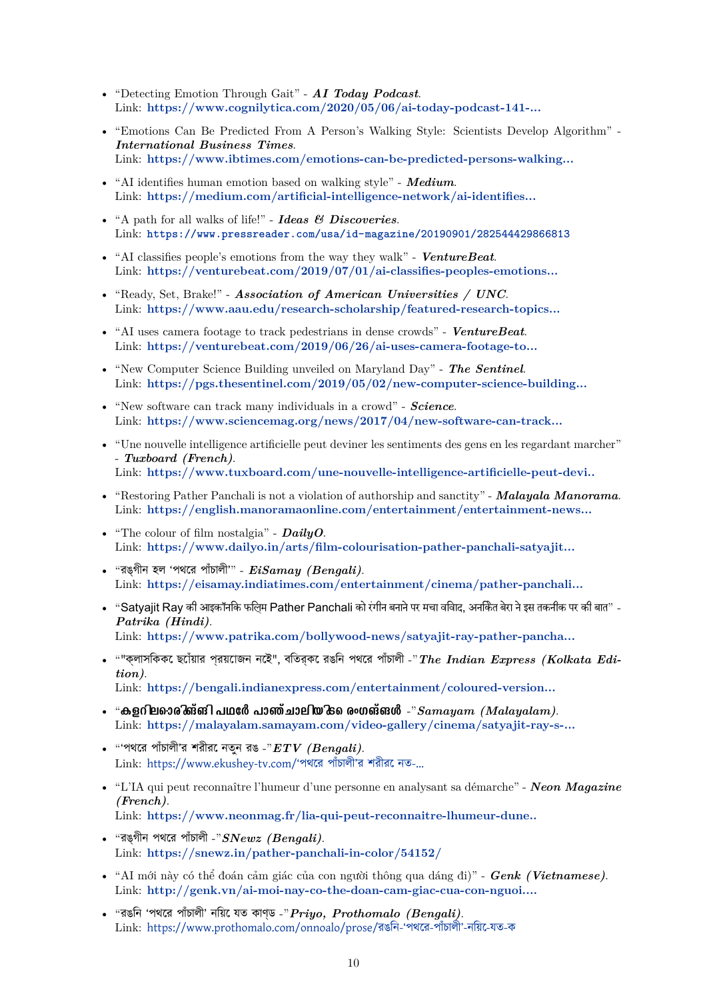- "Detecting Emotion Through Gait" *AI Today Podcast*. Link: **[https://www.cognilytica.com/2020/05/06/ai-today-podcast-141-...](https://www.cognilytica.com/2020/05/06/ai-today-podcast-141-interview-with-aniket-bera-assistant-research-professor-in-computer-science-at-university-of-maryland-gamma-lab/)**
- "Emotions Can Be Predicted From A Person's Walking Style: Scientists Develop Algorithm" *International Business Times*. Link: **[https://www.ibtimes.com/emotions-can-be-predicted-persons-walking...](https://www.ibtimes.com/emotions-can-be-predicted-persons-walking-style-scientists-develop-algorithm-2806862)**
- "AI identifies human emotion based on walking style" *Medium*. Link: **[https://medium.com/artificial-intelligence-network/ai-identifies...](https://medium.com/artificial-intelligence-network/ai-identifies-human-emotion-based-on-walking-style-bef158b50e79)**
- "A path for all walks of life!" *Ideas & Discoveries*. Link: **<https://www.pressreader.com/usa/id-magazine/20190901/282544429866813>**
- "AI classifies people's emotions from the way they walk" *VentureBeat*. Link: **[https://venturebeat.com/2019/07/01/ai-classifies-peoples-emotions...](https://venturebeat.com/2019/07/01/ai-classifies-peoples-emotions-from-the-way-they-walk/)**
- "Ready, Set, Brake!" *Association of American Universities / UNC*. Link: **[https://www.aau.edu/research-scholarship/featured-research-topics...](https://www.aau.edu/research-scholarship/featured-research-topics/ready-set-brake)**
- "AI uses camera footage to track pedestrians in dense crowds" *VentureBeat*. Link: **[https://venturebeat.com/2019/06/26/ai-uses-camera-footage-to...](https://venturebeat.com/2019/06/26/ai-uses-camera-footage-to-track-pedestrians-in-dense-crowds/)**
- "New Computer Science Building unveiled on Maryland Day" *The Sentinel*. Link: **[https://pgs.thesentinel.com/2019/05/02/new-computer-science-building...](https://pgs.thesentinel.com/2019/05/02/new-computer-science-building-unveiled-on-maryland-day/)**
- "New software can track many individuals in a crowd" *Science*. Link: **[https://www.sciencemag.org/news/2017/04/new-software-can-track...](https://www.sciencemag.org/news/2017/04/new-software-can-track-many-individuals-crowd)**
- "Une nouvelle intelligence artificielle peut deviner les sentiments des gens en les regardant marcher" - *Tuxboard (French)*. Link: **[https://www.tuxboard.com/une-nouvelle-intelligence-artificielle-peut-devi..](https://www.tuxboard.com/une-nouvelle-intelligence-artificielle-peut-deviner-les-sentiments-des-gens-en-les-regardant-marcher/)**
- "Restoring Pather Panchali is not a violation of authorship and sanctity" *Malayala Manorama*. Link: **[https://english.manoramaonline.com/entertainment/entertainment-news...](https://english.manoramaonline.com/entertainment/entertainment-news/2020/06/13/dress-circle-pather-panchali-colour-satyajit-ray.html)**
- "The colour of film nostalgia" *DailyO*. Link: **[https://www.dailyo.in/arts/film-colourisation-pather-panchali-satyajit...](https://www.dailyo.in/arts/film-colourisation-pather-panchali-satyajit-ray-ai-blue-ray-youtube/story/1/33045.html)**
- "রঙ্গীন হল 'পথের পাঁচালী'" *EiSamay (Bengali)*. Link: **[https://eisamay.indiatimes.com/entertainment/cinema/pather-panchali...](https://eisamay.indiatimes.com/entertainment/cinema/pather-panchali-comes-in-colour-print/articleshow/76136964.cms)**
- "Satyajit Ray की आइकॉनिक फिल्म Pather Panchali को रंगीन बनाने पर मचा विवाद, अनिकेत बेरा ने इस तकनीक पर की बात" *Patrika (Hindi)*. Link: **[https://www.patrika.com/bollywood-news/satyajit-ray-pather-pancha...](https://www.patrika.com/bollywood-news/satyajit-ray-pather-panchali-in-controversy-after-getting-coloured-ai-6175027/)**
- ""ক্লাসিককে ছোঁয়ার প্রয়োজন নেই", বিতর্কে রঙিন পথের পাঁচালী -"*The Indian Express (Kolkata Edition)*. Link: **[https://bengali.indianexpress.com/entertainment/coloured-version...](https://bengali.indianexpress.com/entertainment/coloured-version-of-pather-panchali-is-on-controversy-229308/)**
- $\bullet$  "കളറില**ൊരിങ്ങി പഥ**ർേ പാഞ്ചാലിയിടെ രംഗങ്**ങ**ൾ *-*" $Samayam$  *(Malayalam).* Link: **[https://malayalam.samayam.com/video-gallery/cinema/satyajit-ray-s-...](https://malayalam.samayam.com/video-gallery/cinema/satyajit-ray-s-pather-panchali-color-version/videoshow/76141318.cms)**
- "'পথের পাঁচালী'র শরীরে নতুন রঙ -"*ETV (Bengali)*. Link: [https://www.ekushey-tv.com/'পথের পাঁচালী'র শরীরে নত-...](https://www.ekushey-tv.com/‘পথের পাঁচালী’র শরীরে নতুন রঙ/101234)
- "L'IA qui peut reconnaître l'humeur d'une personne en analysant sa démarche" *Neon Magazine (French)*. Link: **[https://www.neonmag.fr/lia-qui-peut-reconnaitre-lhumeur-dune..](https://www.neonmag.fr/lia-qui-peut-reconnaitre-lhumeur-dune-personne-en-analysant-sa-demarche-533419.html)**
- "রঙ্গীন পথের পাঁচালী -"*SNewz (Bengali)*. Link: **<https://snewz.in/pather-panchali-in-color/54152/>**
- "AI mới này có thể đoán cảm giác của con người thông qua dáng đi)" *Genk (Vietnamese)*. Link: **[http://genk.vn/ai-moi-nay-co-the-doan-cam-giac-cua-con-nguoi....](http://genk.vn/ai-moi-nay-co-the-doan-cam-giac-cua-con-nguoi-thong-qua-dang-di-20190716213059054.chn)**
- "রঙিন 'পথের পাঁচালী' নিয়ে যত কাণ্ড -"*Priyo, Prothomalo (Bengali)*. Link: [https://www.prothomalo.com/onnoalo/prose/রঙিন-'পথের-পাঁচালী'-নিয়ে-যত-ক](https://www.prothomalo.com/onnoalo/prose/রঙিন-‘পথের-পাঁচালী’-নিয়ে-যত-কাণ্ড)